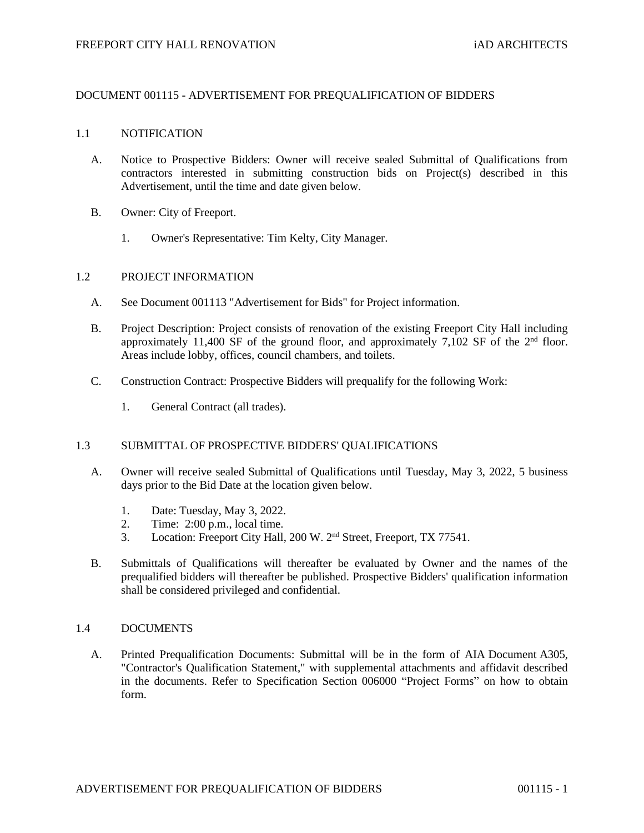# DOCUMENT 001115 - ADVERTISEMENT FOR PREQUALIFICATION OF BIDDERS

## 1.1 NOTIFICATION

- A. Notice to Prospective Bidders: Owner will receive sealed Submittal of Qualifications from contractors interested in submitting construction bids on Project(s) described in this Advertisement, until the time and date given below.
- B. Owner: City of Freeport.
	- 1. Owner's Representative: Tim Kelty, City Manager.

### 1.2 PROJECT INFORMATION

- A. See Document 001113 "Advertisement for Bids" for Project information.
- B. Project Description: Project consists of renovation of the existing Freeport City Hall including approximately 11,400 SF of the ground floor, and approximately 7,102 SF of the  $2<sup>nd</sup>$  floor. Areas include lobby, offices, council chambers, and toilets.
- C. Construction Contract: Prospective Bidders will prequalify for the following Work:
	- 1. General Contract (all trades).

## 1.3 SUBMITTAL OF PROSPECTIVE BIDDERS' QUALIFICATIONS

- A. Owner will receive sealed Submittal of Qualifications until Tuesday, May 3, 2022, 5 business days prior to the Bid Date at the location given below.
	- 1. Date: Tuesday, May 3, 2022.
	- 2. Time: 2:00 p.m., local time.
	- 3. Location: Freeport City Hall, 200 W. 2<sup>nd</sup> Street, Freeport, TX 77541.
- B. Submittals of Qualifications will thereafter be evaluated by Owner and the names of the prequalified bidders will thereafter be published. Prospective Bidders' qualification information shall be considered privileged and confidential.

#### 1.4 DOCUMENTS

A. Printed Prequalification Documents: Submittal will be in the form of AIA Document A305, "Contractor's Qualification Statement," with supplemental attachments and affidavit described in the documents. Refer to Specification Section 006000 "Project Forms" on how to obtain form.